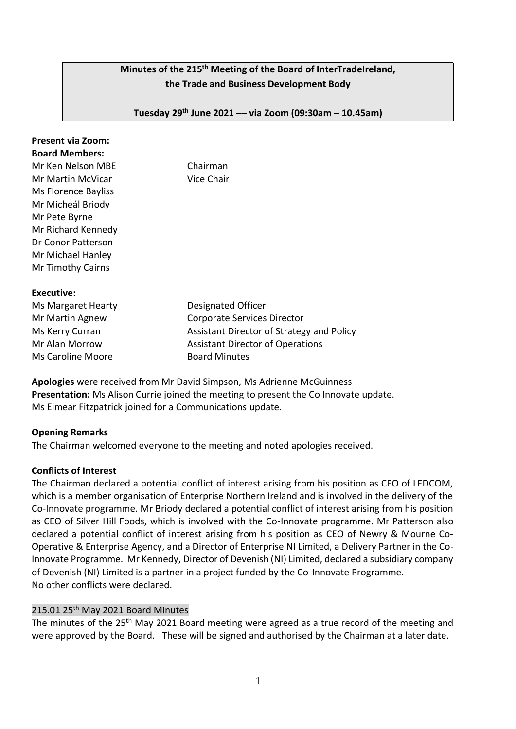# **Minutes of the 215 th Meeting of the Board of InterTradeIreland, the Trade and Business Development Body**

**Tuesday 29th June 2021 –– via Zoom (09:30am – 10.45am)**

| <b>Present via Zoom:</b><br><b>Board Members:</b><br>Mr Ken Nelson MBE<br>Mr Martin McVicar<br>Ms Florence Bayliss<br>Mr Micheál Briody<br>Mr Pete Byrne<br>Mr Richard Kennedy<br>Dr Conor Patterson<br>Mr Michael Hanley<br>Mr Timothy Cairns | Chairman<br>Vice Chair                                                                                                                                            |
|------------------------------------------------------------------------------------------------------------------------------------------------------------------------------------------------------------------------------------------------|-------------------------------------------------------------------------------------------------------------------------------------------------------------------|
| Executive:<br>Ms Margaret Hearty<br>Mr Martin Agnew<br>Ms Kerry Curran<br>Mr Alan Morrow<br>Ms Caroline Moore                                                                                                                                  | Designated Officer<br>Corporate Services Director<br>Assistant Director of Strategy and Policy<br><b>Assistant Director of Operations</b><br><b>Board Minutes</b> |

**Apologies** were received from Mr David Simpson, Ms Adrienne McGuinness **Presentation:** Ms Alison Currie joined the meeting to present the Co Innovate update. Ms Eimear Fitzpatrick joined for a Communications update.

### **Opening Remarks**

The Chairman welcomed everyone to the meeting and noted apologies received.

#### **Conflicts of Interest**

The Chairman declared a potential conflict of interest arising from his position as CEO of LEDCOM, which is a member organisation of Enterprise Northern Ireland and is involved in the delivery of the Co-Innovate programme. Mr Briody declared a potential conflict of interest arising from his position as CEO of Silver Hill Foods, which is involved with the Co-Innovate programme. Mr Patterson also declared a potential conflict of interest arising from his position as CEO of Newry & Mourne Co-Operative & Enterprise Agency, and a Director of Enterprise NI Limited, a Delivery Partner in the Co-Innovate Programme. Mr Kennedy, Director of Devenish (NI) Limited, declared a subsidiary company of Devenish (NI) Limited is a partner in a project funded by the Co-Innovate Programme. No other conflicts were declared.

### 215.01 25<sup>th</sup> May 2021 Board Minutes

The minutes of the 25<sup>th</sup> May 2021 Board meeting were agreed as a true record of the meeting and were approved by the Board. These will be signed and authorised by the Chairman at a later date.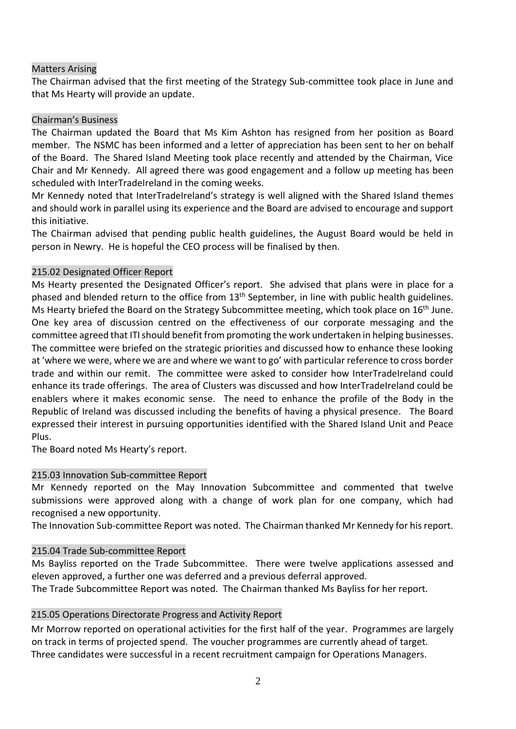#### Matters Arising

The Chairman advised that the first meeting of the Strategy Sub-committee took place in June and that Ms Hearty will provide an update.

#### Chairman's Business

The Chairman updated the Board that Ms Kim Ashton has resigned from her position as Board member. The NSMC has been informed and a letter of appreciation has been sent to her on behalf of the Board. The Shared Island Meeting took place recently and attended by the Chairman, Vice Chair and Mr Kennedy. All agreed there was good engagement and a follow up meeting has been scheduled with InterTradeIreland in the coming weeks.

Mr Kennedy noted that InterTradeIreland's strategy is well aligned with the Shared Island themes and should work in parallel using its experience and the Board are advised to encourage and support this initiative.

The Chairman advised that pending public health guidelines, the August Board would be held in person in Newry. He is hopeful the CEO process will be finalised by then.

### 215.02 Designated Officer Report

Ms Hearty presented the Designated Officer's report. She advised that plans were in place for a phased and blended return to the office from 13<sup>th</sup> September, in line with public health guidelines. Ms Hearty briefed the Board on the Strategy Subcommittee meeting, which took place on 16<sup>th</sup> June. One key area of discussion centred on the effectiveness of our corporate messaging and the committee agreed that ITI should benefit from promoting the work undertaken in helping businesses. The committee were briefed on the strategic priorities and discussed how to enhance these looking at 'where we were, where we are and where we want to go' with particular reference to cross border trade and within our remit. The committee were asked to consider how InterTradeIreland could enhance its trade offerings. The area of Clusters was discussed and how InterTradeIreland could be enablers where it makes economic sense. The need to enhance the profile of the Body in the Republic of Ireland was discussed including the benefits of having a physical presence. The Board expressed their interest in pursuing opportunities identified with the Shared Island Unit and Peace Plus.

The Board noted Ms Hearty's report.

### 215.03 Innovation Sub-committee Report

Mr Kennedy reported on the May Innovation Subcommittee and commented that twelve submissions were approved along with a change of work plan for one company, which had recognised a new opportunity.

The Innovation Sub-committee Report was noted. The Chairman thanked Mr Kennedy for his report.

#### 215.04 Trade Sub-committee Report

Ms Bayliss reported on the Trade Subcommittee. There were twelve applications assessed and eleven approved, a further one was deferred and a previous deferral approved.

The Trade Subcommittee Report was noted. The Chairman thanked Ms Bayliss for her report.

### 215.05 Operations Directorate Progress and Activity Report

Mr Morrow reported on operational activities for the first half of the year. Programmes are largely on track in terms of projected spend. The voucher programmes are currently ahead of target. Three candidates were successful in a recent recruitment campaign for Operations Managers.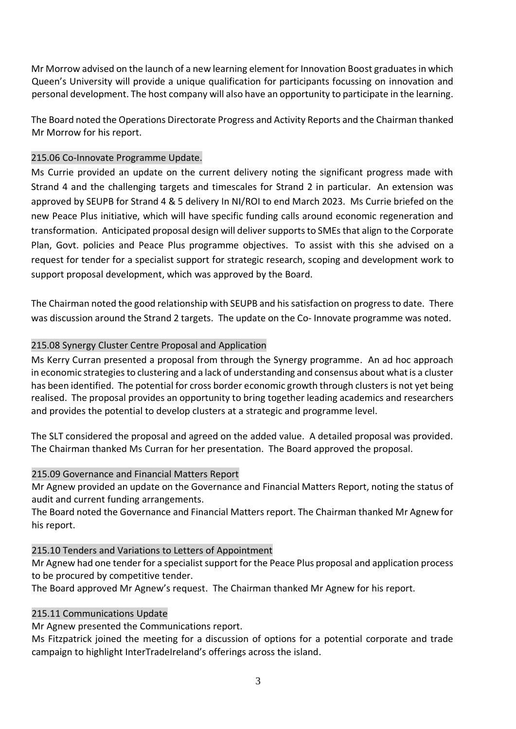Mr Morrow advised on the launch of a new learning element for Innovation Boost graduates in which Queen's University will provide a unique qualification for participants focussing on innovation and personal development. The host company will also have an opportunity to participate in the learning.

The Board noted the Operations Directorate Progress and Activity Reports and the Chairman thanked Mr Morrow for his report.

## 215.06 Co-Innovate Programme Update.

Ms Currie provided an update on the current delivery noting the significant progress made with Strand 4 and the challenging targets and timescales for Strand 2 in particular. An extension was approved by SEUPB for Strand 4 & 5 delivery In NI/ROI to end March 2023. Ms Currie briefed on the new Peace Plus initiative, which will have specific funding calls around economic regeneration and transformation. Anticipated proposal design will deliver supports to SMEs that align to the Corporate Plan, Govt. policies and Peace Plus programme objectives. To assist with this she advised on a request for tender for a specialist support for strategic research, scoping and development work to support proposal development, which was approved by the Board.

The Chairman noted the good relationship with SEUPB and his satisfaction on progress to date. There was discussion around the Strand 2 targets. The update on the Co- Innovate programme was noted.

## 215.08 Synergy Cluster Centre Proposal and Application

Ms Kerry Curran presented a proposal from through the Synergy programme. An ad hoc approach in economic strategies to clustering and a lack of understanding and consensus about what is a cluster has been identified. The potential for cross border economic growth through clusters is not yet being realised. The proposal provides an opportunity to bring together leading academics and researchers and provides the potential to develop clusters at a strategic and programme level.

The SLT considered the proposal and agreed on the added value. A detailed proposal was provided. The Chairman thanked Ms Curran for her presentation. The Board approved the proposal.

### 215.09 Governance and Financial Matters Report

Mr Agnew provided an update on the Governance and Financial Matters Report, noting the status of audit and current funding arrangements.

The Board noted the Governance and Financial Matters report. The Chairman thanked Mr Agnew for his report.

### 215.10 Tenders and Variations to Letters of Appointment

Mr Agnew had one tender for a specialist support for the Peace Plus proposal and application process to be procured by competitive tender.

The Board approved Mr Agnew's request. The Chairman thanked Mr Agnew for his report.

# 215.11 Communications Update

Mr Agnew presented the Communications report.

Ms Fitzpatrick joined the meeting for a discussion of options for a potential corporate and trade campaign to highlight InterTradeIreland's offerings across the island.